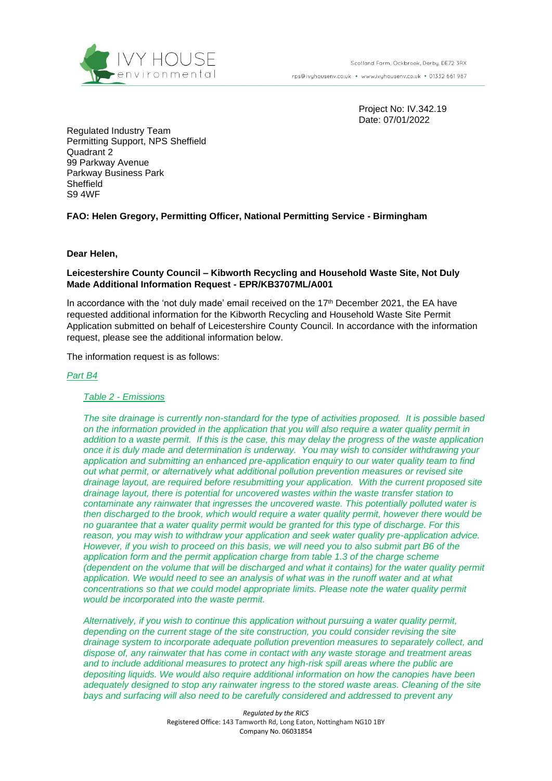

rps@ivyhousenv.co.uk · www.ivyhousenv.co.uk · 01332 661 987

Project No: IV.342.19 Date: 07/01/2022

Regulated Industry Team Permitting Support, NPS Sheffield Quadrant 2 99 Parkway Avenue Parkway Business Park **Sheffield** S9 4WF

**FAO: Helen Gregory, Permitting Officer, National Permitting Service - Birmingham**

**Dear Helen,**

**Leicestershire County Council – Kibworth Recycling and Household Waste Site, Not Duly Made Additional Information Request - EPR/KB3707ML/A001**

In accordance with the 'not duly made' email received on the 17<sup>th</sup> December 2021, the EA have requested additional information for the Kibworth Recycling and Household Waste Site Permit Application submitted on behalf of Leicestershire County Council. In accordance with the information request, please see the additional information below.

The information request is as follows:

#### *Part B4*

#### *Table 2 - Emissions*

*The site drainage is currently non-standard for the type of activities proposed. It is possible based on the information provided in the application that you will also require a water quality permit in addition to a waste permit. If this is the case, this may delay the progress of the waste application once it is duly made and determination is underway. You may wish to consider withdrawing your application and submitting an enhanced pre-application enquiry to our water quality team to find out what permit, or alternatively what additional pollution prevention measures or revised site drainage layout, are required before resubmitting your application. With the current proposed site drainage layout, there is potential for uncovered wastes within the waste transfer station to contaminate any rainwater that ingresses the uncovered waste. This potentially polluted water is then discharged to the brook, which would require a water quality permit, however there would be no guarantee that a water quality permit would be granted for this type of discharge. For this reason, you may wish to withdraw your application and seek water quality pre-application advice. However, if you wish to proceed on this basis, we will need you to also submit part B6 of the application form and the permit application charge from table 1.3 of the charge scheme (dependent on the volume that will be discharged and what it contains) for the water quality permit application. We would need to see an analysis of what was in the runoff water and at what concentrations so that we could model appropriate limits. Please note the water quality permit would be incorporated into the waste permit.* 

*Alternatively, if you wish to continue this application without pursuing a water quality permit, depending on the current stage of the site construction, you could consider revising the site drainage system to incorporate adequate pollution prevention measures to separately collect, and dispose of, any rainwater that has come in contact with any waste storage and treatment areas and to include additional measures to protect any high-risk spill areas where the public are depositing liquids. We would also require additional information on how the canopies have been adequately designed to stop any rainwater ingress to the stored waste areas. Cleaning of the site bays and surfacing will also need to be carefully considered and addressed to prevent any* 

> *Regulated by the RICS* Registered Office: 143 Tamworth Rd, Long Eaton, Nottingham NG10 1BY Company No. 06031854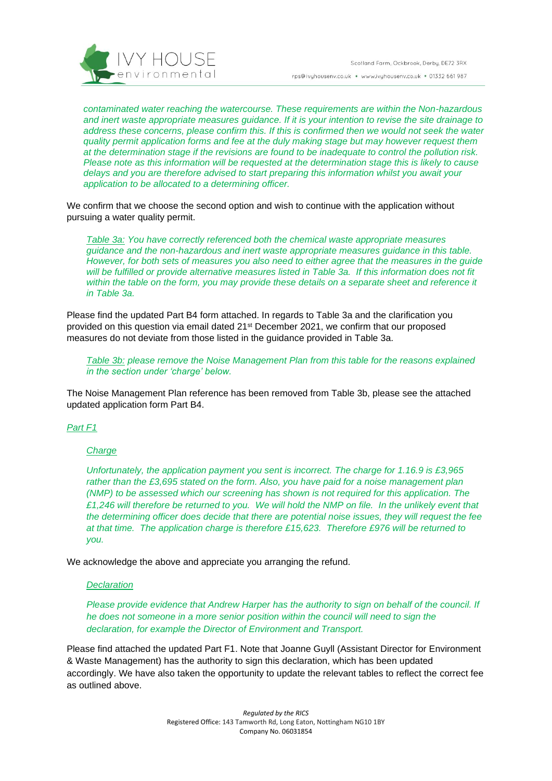

*contaminated water reaching the watercourse. These requirements are within the Non-hazardous and inert waste appropriate measures guidance. If it is your intention to revise the site drainage to address these concerns, please confirm this. If this is confirmed then we would not seek the water quality permit application forms and fee at the duly making stage but may however request them at the determination stage if the revisions are found to be inadequate to control the pollution risk. Please note as this information will be requested at the determination stage this is likely to cause delays and you are therefore advised to start preparing this information whilst you await your application to be allocated to a determining officer.*

We confirm that we choose the second option and wish to continue with the application without pursuing a water quality permit.

*Table 3a: You have correctly referenced both the chemical waste appropriate measures guidance and the non-hazardous and inert waste appropriate measures guidance in this table. However, for both sets of measures you also need to either agree that the measures in the guide will be fulfilled or provide alternative measures listed in Table 3a. If this information does not fit within the table on the form, you may provide these details on a separate sheet and reference it in Table 3a.*

Please find the updated Part B4 form attached. In regards to Table 3a and the clarification you provided on this question via email dated 21<sup>st</sup> December 2021, we confirm that our proposed measures do not deviate from those listed in the guidance provided in Table 3a.

*Table 3b: please remove the Noise Management Plan from this table for the reasons explained in the section under 'charge' below.*

The Noise Management Plan reference has been removed from Table 3b, please see the attached updated application form Part B4.

# *Part F1*

### *Charge*

*Unfortunately, the application payment you sent is incorrect. The charge for 1.16.9 is £3,965 rather than the £3,695 stated on the form. Also, you have paid for a noise management plan (NMP) to be assessed which our screening has shown is not required for this application. The £1,246 will therefore be returned to you. We will hold the NMP on file. In the unlikely event that the determining officer does decide that there are potential noise issues, they will request the fee at that time. The application charge is therefore £15,623. Therefore £976 will be returned to you.*

We acknowledge the above and appreciate you arranging the refund.

#### *Declaration*

*Please provide evidence that Andrew Harper has the authority to sign on behalf of the council. If he does not someone in a more senior position within the council will need to sign the declaration, for example the Director of Environment and Transport.*

Please find attached the updated Part F1. Note that Joanne Guyll (Assistant Director for Environment & Waste Management) has the authority to sign this declaration, which has been updated accordingly. We have also taken the opportunity to update the relevant tables to reflect the correct fee as outlined above.

> *Regulated by the RICS* Registered Office: 143 Tamworth Rd, Long Eaton, Nottingham NG10 1BY Company No. 06031854